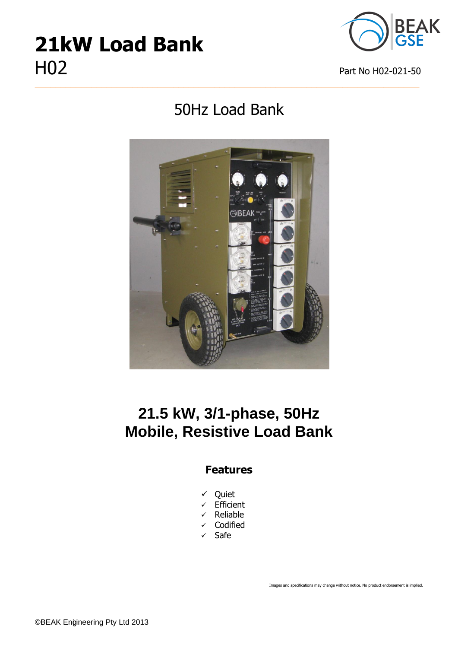# **21kW Load Bank**  $H02$  Part No H02-021-50



# 50Hz Load Bank

**\_\_\_\_\_\_\_\_\_\_\_\_\_\_\_\_\_\_\_\_\_\_\_\_\_\_\_\_\_\_\_\_\_\_\_\_\_\_\_\_\_\_\_\_\_\_\_\_\_\_\_\_\_\_\_\_\_\_\_\_\_\_\_\_\_\_\_\_\_\_\_\_\_\_\_**



## **21.5 kW, 3/1-phase, 50Hz Mobile, Resistive Load Bank**

#### **Features**

- $\checkmark$  Quiet
- $\checkmark$  Efficient
- $\checkmark$  Reliable
- $\checkmark$  Codified
- $\checkmark$  Safe